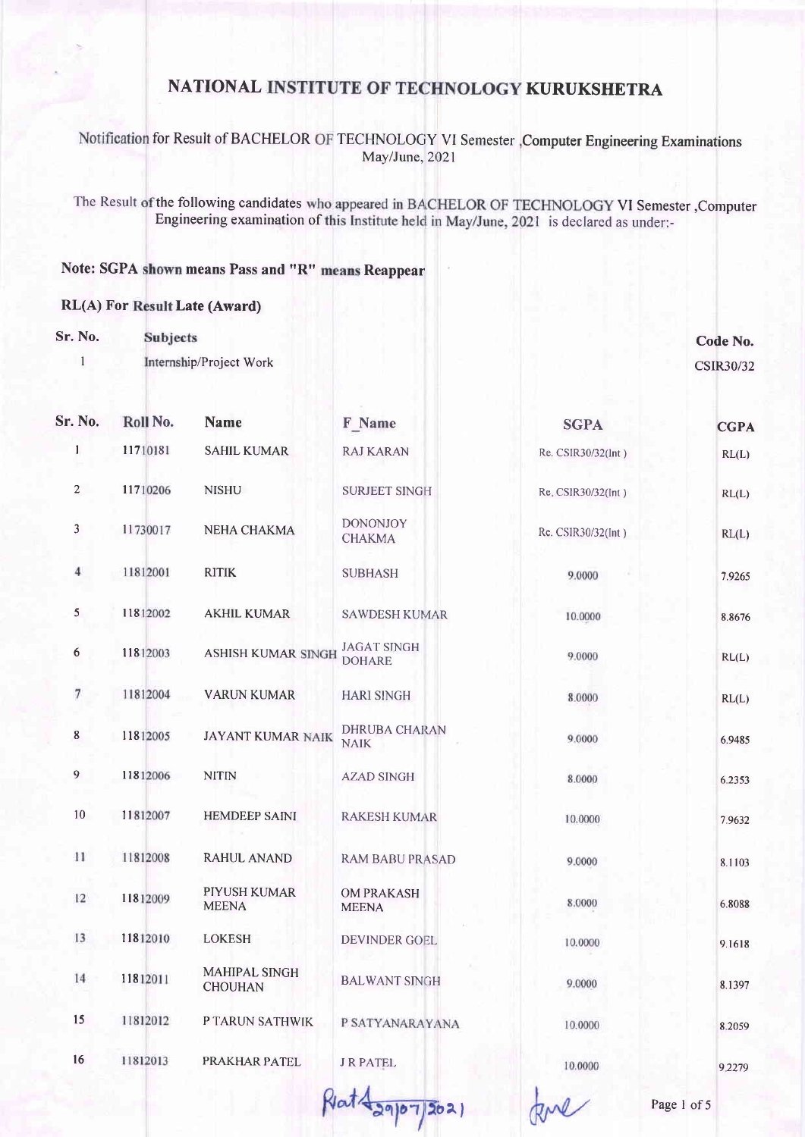### Notification for Result of BACHELOR OF TECHNOLOGY VI Semester , Computer Engineering Examinations May/June, 2021

The Result of the following candidates who appeared in BACHELOR OF TECHNOLOGY VI Semester ,Computer Engineering examination of this Institute held in May/June, 2021 is declared as under:-

#### Note: SGPA shown means Pass and "R" means Reappear

#### **RL(A) For Result Late (Award)**

Sr. No. **Subjects** 

> $\mathbf{1}$ Internship/Project Work

Code No. **CSIR30/32** 

| Sr. No.          | Roll No. | <b>Name</b>                     | F Name                              | <b>SGPA</b>        | <b>CGPA</b> |
|------------------|----------|---------------------------------|-------------------------------------|--------------------|-------------|
| $\mathbf{1}$     | 11710181 | <b>SAHIL KUMAR</b>              | <b>RAJ KARAN</b>                    | Re. CSIR30/32(lnt) | RL(L)       |
| 2                | 11710206 | <b>NISHU</b>                    | <b>SURJEET SINGH</b>                | Re. CSIR30/32(Int) | RL(L)       |
| 3                | 11730017 | NEHA CHAKMA                     | <b>DONONJOY</b><br><b>CHAKMA</b>    | Re. CSIR30/32(Int) | RL(L)       |
| $\overline{4}$   | 11812001 | <b>RITIK</b>                    | <b>SUBHASH</b>                      | 9.0000             | 7.9265      |
| 5                | 11812002 | <b>AKHIL KUMAR</b>              | <b>SAWDESH KUMAR</b>                | 10.0000            | 8.8676      |
| $\boldsymbol{6}$ | 11812003 | <b>ASHISH KUMAR SINGH</b>       | <b>JAGAT SINGH</b><br><b>DOHARE</b> | 9.0000             | RL(L)       |
| $\boldsymbol{7}$ | 11812004 | <b>VARUN KUMAR</b>              | <b>HARI SINGH</b>                   | 8.0000             | RL(L)       |
| 8                | 11812005 | <b>JAYANT KUMAR NAIK</b>        | <b>DHRUBA CHARAN</b><br><b>NAIK</b> | 9.0000             | 6.9485      |
| $\overline{9}$   | 11812006 | <b>NITIN</b>                    | <b>AZAD SINGH</b>                   | 8.0000             | 6.2353      |
| 10               | 11812007 | <b>HEMDEEP SAINI</b>            | <b>RAKESH KUMAR</b>                 | 10.0000            | 7.9632      |
| $_{11}$          | 11812008 | RAHUL ANAND                     | <b>RAM BABU PRASAD</b>              | 9.0000             | 8.1103      |
| 12               | 11812009 | PIYUSH KUMAR<br><b>MEENA</b>    | <b>OM PRAKASH</b><br><b>MEENA</b>   | 8.0000             | 6.8088      |
| 13               | 11812010 | <b>LOKESH</b>                   | DEVINDER GOEL                       | 10.0000            | 9.1618      |
| 14               | 11812011 | MAHIPAL SINGH<br><b>CHOUHAN</b> | <b>BALWANT SINGH</b>                | 9.0000             | 8.1397      |
| 15               | 11812012 | P TARUN SATHWIK                 | P SATYANARAYANA                     | 10.0000            | 8.2059      |
| 16               | 11812013 | PRAKHAR PATEL                   | <b>J R PATEL</b>                    | 10.0000            | 9.2279      |
|                  |          |                                 | Rat-<br>2021                        |                    | Page 1 of 5 |

 $\frac{1}{29}$   $\frac{1}{202}$ 

Page 1 of 5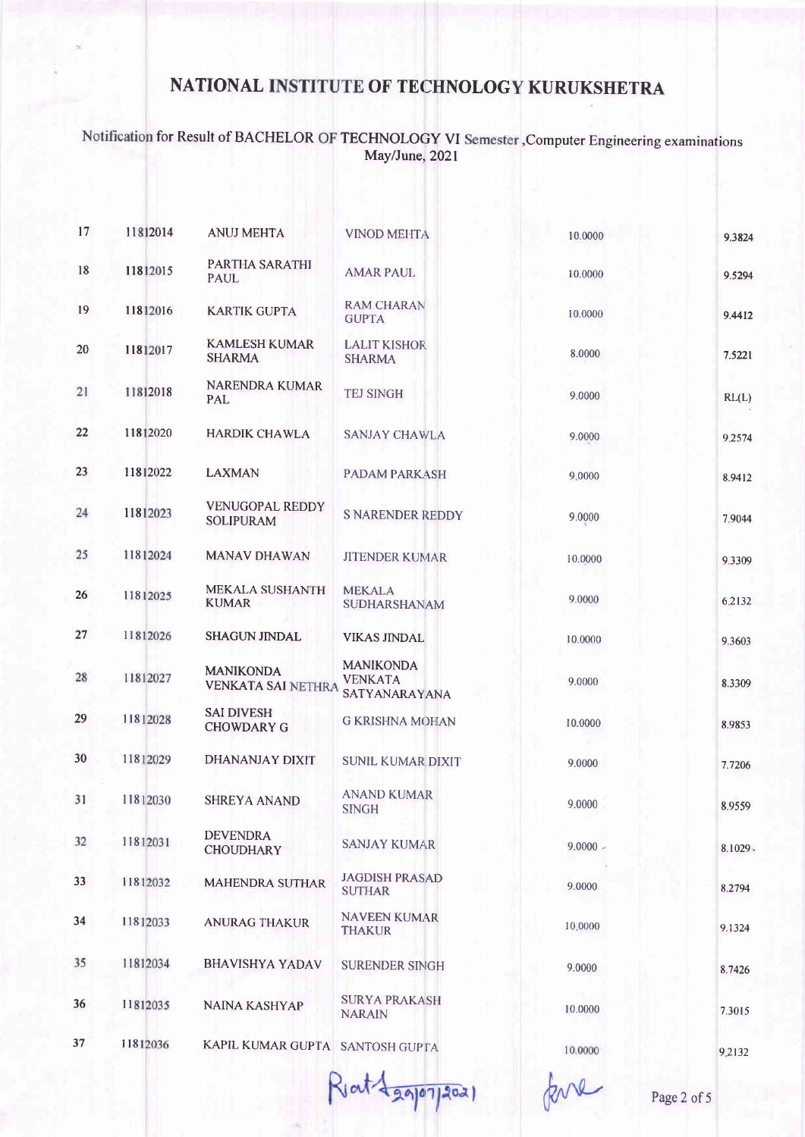## Notification for Result of BACHELOR OF TECHNOLOGY VI Semester, Computer Engineering examinations<br>May/June, 2021

| 17 | 11812014 | <b>ANUJ MEHTA</b>                             | <b>VINOD MEHTA</b>                                  | 10.0000    | 9.3824  |
|----|----------|-----------------------------------------------|-----------------------------------------------------|------------|---------|
| 18 | 11812015 | <b>PARTHA SARATHI</b><br>PAUL                 | <b>AMAR PAUL</b>                                    | 10.0000    | 9.5294  |
| 19 | 11812016 | <b>KARTIK GUPTA</b>                           | <b>RAM CHARAN</b><br><b>GUPTA</b>                   | 10.0000    | 9.4412  |
| 20 | 11812017 | <b>KAMLESH KUMAR</b><br><b>SHARMA</b>         | <b>LALIT KISHOR</b><br><b>SHARMA</b>                | 8.0000     | 7.5221  |
| 21 | 11812018 | <b>NARENDRA KUMAR</b><br>PAL                  | <b>TEJ SINGH</b>                                    | 9.0000     | RL(L)   |
| 22 | 11812020 | <b>HARDIK CHAWLA</b>                          | <b>SANJAY CHAWLA</b>                                | 9.0000     | 9.2574  |
| 23 | 11812022 | <b>LAXMAN</b>                                 | <b>PADAM PARKASH</b>                                | 9,0000     | 8.9412  |
| 24 | 11812023 | <b>VENUGOPAL REDDY</b><br><b>SOLIPURAM</b>    | <b>S NARENDER REDDY</b>                             | 9.0000     | 7.9044  |
| 25 | 11812024 | <b>MANAV DHAWAN</b>                           | <b>JITENDER KUMAR</b>                               | 10.0000    | 9.3309  |
| 26 | 11812025 | MEKALA SUSHANTH<br><b>KUMAR</b>               | <b>MEKALA</b><br>SUDHARSHANAM                       | 9.0000     | 6.2132  |
| 27 | 11812026 | <b>SHAGUN JINDAL</b>                          | <b>VIKAS JINDAL</b>                                 | 10.0000    | 9.3603  |
| 28 | 11812027 | <b>MANIKONDA</b><br><b>VENKATA SAI NETHRA</b> | <b>MANIKONDA</b><br><b>VENKATA</b><br>SATYANARAYANA | 9.0000     | 8.3309  |
| 29 | 11812028 | <b>SAI DIVESH</b><br><b>CHOWDARY G</b>        | <b>G KRISHNA MOHAN</b>                              | 10.0000    | 8.9853  |
| 30 | 11812029 | DHANANJAY DIXIT                               | <b>SUNIL KUMAR DIXIT</b>                            | 9.0000     | 7.7206  |
| 31 | 11812030 | <b>SHREYA ANAND</b>                           | <b>ANAND KUMAR</b><br><b>SINGH</b>                  | 9.0000     | 8.9559  |
| 32 | 11812031 | <b>DEVENDRA</b><br><b>CHOUDHARY</b>           | <b>SANJAY KUMAR</b>                                 | $9.0000 -$ | 8.1029. |
| 33 | 11812032 | <b>MAHENDRA SUTHAR</b>                        | <b>JAGDISH PRASAD</b><br><b>SUTHAR</b>              | 9.0000     | 8.2794  |
| 34 | 11812033 | <b>ANURAG THAKUR</b>                          | <b>NAVEEN KUMAR</b><br><b>THAKUR</b>                | 10.0000    | 9.1324  |
| 35 | 11812034 | <b>BHAVISHYA YADAV</b>                        | <b>SURENDER SINGH</b>                               | 9.0000     | 8.7426  |
| 36 | 11812035 | NAINA KASHYAP                                 | <b>SURYA PRAKASH</b><br><b>NARAIN</b>               | 10.0000    | 7.3015  |
| 37 | 11812036 | KAPIL KUMAR GUPTA SANTOSH GUPTA               |                                                     | 10.0000    | 9.2132  |
|    |          |                                               |                                                     |            |         |

Riat 4 gajorizozi

Page 2 of 5

RNK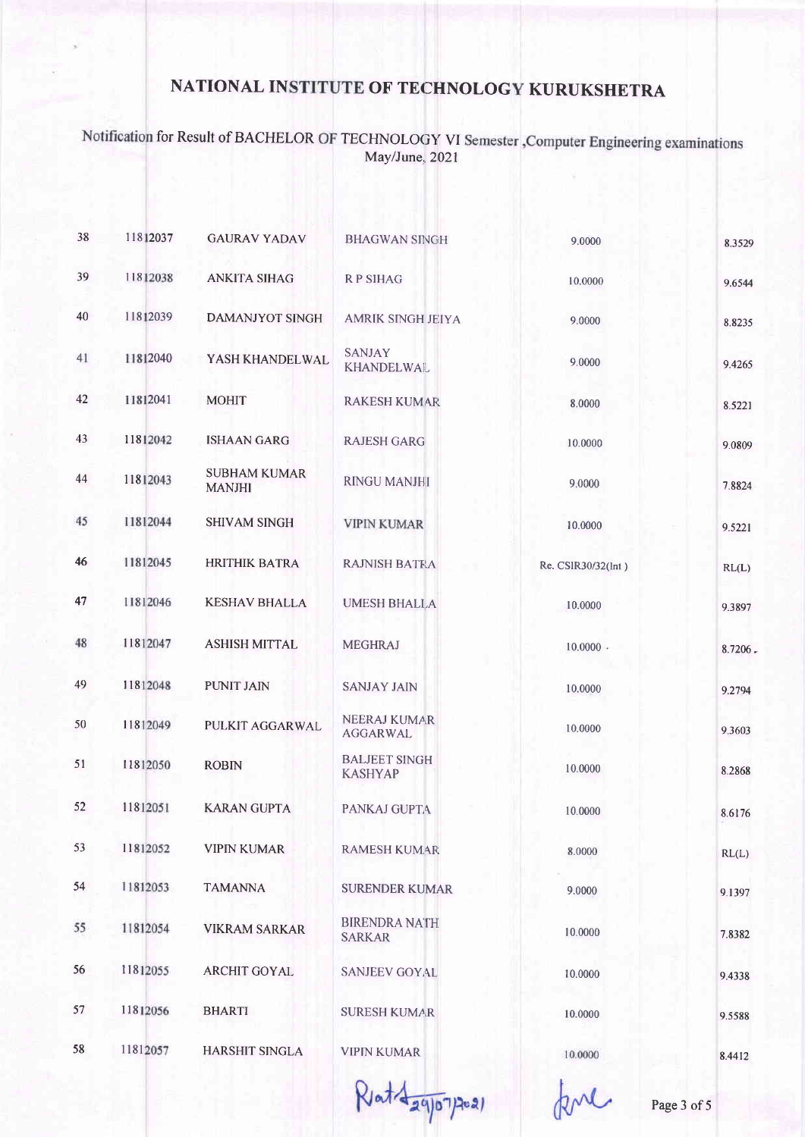# Notification for Result of BACHELOR OF TECHNOLOGY VI Semester , Computer Engineering examinations<br>May/June, 2021

| 38 | 11812037 | <b>GAURAV YADAV</b>                  | <b>BHAGWAN SINGH</b>                   | 9.0000             | 8.3529  |
|----|----------|--------------------------------------|----------------------------------------|--------------------|---------|
| 39 | 11812038 | <b>ANKITA SIHAG</b>                  | <b>RPSIHAG</b>                         | 10.0000            | 9.6544  |
| 40 | 11812039 | <b>DAMANJYOT SINGH</b>               | <b>AMRIK SINGH JEIYA</b>               | 9.0000             | 8.8235  |
| 41 | 11812040 | YASH KHANDELWAL                      | <b>SANJAY</b><br><b>KHANDELWAL</b>     | 9.0000             | 9.4265  |
| 42 | 11812041 | <b>MOHIT</b>                         | <b>RAKESH KUMAR</b>                    | 8.0000             | 8.5221  |
| 43 | 11812042 | <b>ISHAAN GARG</b>                   | <b>RAJESH GARG</b>                     | 10.0000            | 9.0809  |
| 44 | 11812043 | <b>SUBHAM KUMAR</b><br><b>MANJHI</b> | <b>RINGU MANJHI</b>                    | 9.0000             | 7.8824  |
| 45 | 11812044 | <b>SHIVAM SINGH</b>                  | <b>VIPIN KUMAR</b>                     | 10.0000            | 9.5221  |
| 46 | 11812045 | <b>HRITHIK BATRA</b>                 | <b>RAJNISH BATRA</b>                   | Re. CSIR30/32(lnt) | RL(L)   |
| 47 | 11812046 | <b>KESHAV BHALLA</b>                 | <b>UMESH BHALLA</b>                    | 10.0000            | 9.3897  |
| 48 | 11812047 | <b>ASHISH MITTAL</b>                 | <b>MEGHRAJ</b>                         | $10.0000$ .        | 8.7206. |
| 49 | 11812048 | <b>PUNIT JAIN</b>                    | <b>SANJAY JAIN</b>                     | 10.0000            | 9.2794  |
| 50 | 11812049 | PULKIT AGGARWAL                      | <b>NEERAJ KUMAR</b><br><b>AGGARWAL</b> | 10.0000            | 9.3603  |
| 51 | 11812050 | <b>ROBIN</b>                         | <b>BALJEET SINGH</b><br><b>KASHYAP</b> | 10.0000            | 8.2868  |
| 52 | 11812051 | <b>KARAN GUPTA</b>                   | PANKAJ GUPTA                           | 10.0000            | 8.6176  |
| 53 | 11812052 | <b>VIPIN KUMAR</b>                   | <b>RAMESH KUMAR</b>                    | 8.0000             | RL(L)   |
| 54 | 11812053 | <b>TAMANNA</b>                       | <b>SURENDER KUMAR</b>                  | 9.0000             | 9.1397  |
| 55 | 11812054 | <b>VIKRAM SARKAR</b>                 | <b>BIRENDRA NATH</b><br><b>SARKAR</b>  | 10.0000            | 7.8382  |
| 56 | 11812055 | <b>ARCHIT GOYAL</b>                  | <b>SANJEEV GOYAL</b>                   | 10.0000            | 9.4338  |
| 57 | 11812056 | <b>BHARTI</b>                        | <b>SURESH KUMAR</b>                    | 10.0000            | 9.5588  |
| 58 | 11812057 | <b>HARSHIT SINGLA</b>                | <b>VIPIN KUMAR</b>                     | 10.0000            | 8.4412  |
|    |          |                                      |                                        |                    |         |

 $R$ at  $42907$ po2)

Page 3 of 5

kne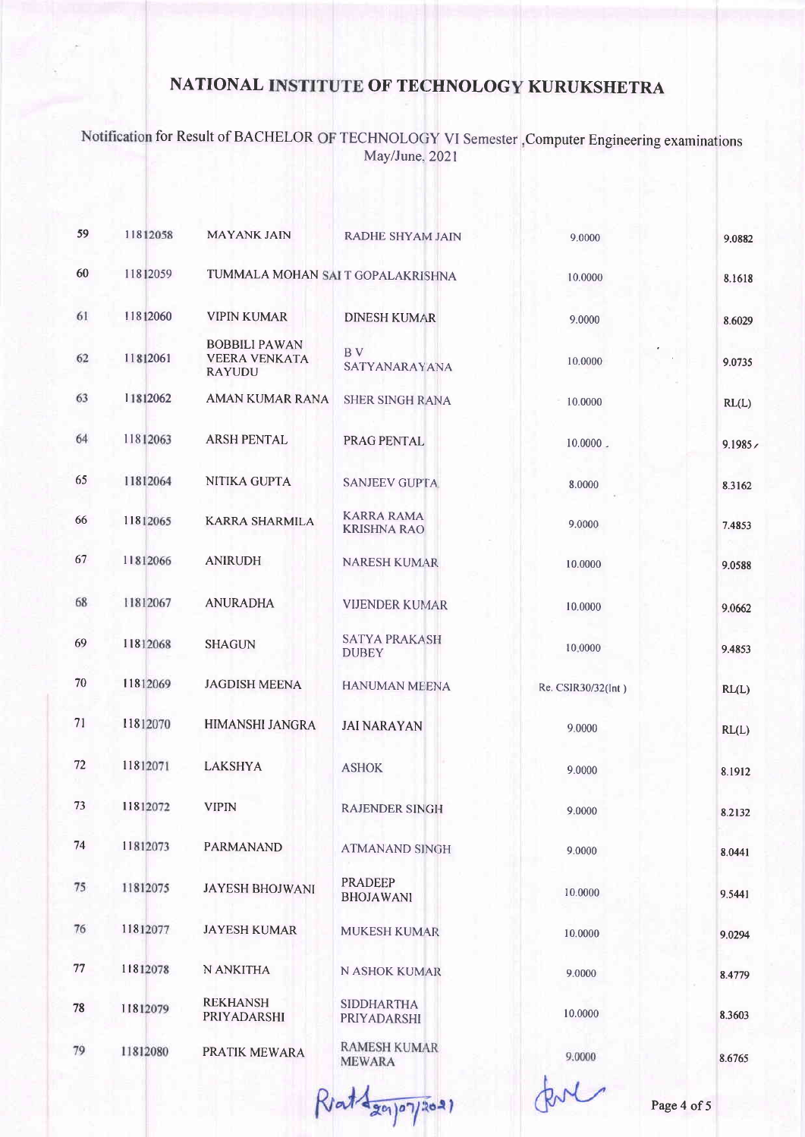Notification for Result of BACHELOR OF TECHNOLOGY VI Semester, Computer Engineering examinations<br>May/June, 2021

| 59 | 11812058 | <b>MAYANK JAIN</b>                                            | <b>RADHE SHYAM JAIN</b>                 | 9.0000             | 9.0882 |
|----|----------|---------------------------------------------------------------|-----------------------------------------|--------------------|--------|
| 60 | 11812059 | TUMMALA MOHAN SAI T GOPALAKRISHNA                             |                                         | 10.0000            | 8.1618 |
| 61 | 11812060 | <b>VIPIN KUMAR</b>                                            | <b>DINESH KUMAR</b>                     | 9.0000             | 8.6029 |
| 62 | 11812061 | <b>BOBBILI PAWAN</b><br><b>VEERA VENKATA</b><br><b>RAYUDU</b> | B V<br><b>SATYANARAYANA</b>             | 10.0000            | 9.0735 |
| 63 | 11812062 | <b>AMAN KUMAR RANA</b>                                        | <b>SHER SINGH RANA</b>                  | 10.0000            | RL(L)  |
| 64 | 11812063 | <b>ARSH PENTAL</b>                                            | PRAG PENTAL                             | $10.0000$ .        | 9.1985 |
| 65 | 11812064 | NITIKA GUPTA                                                  | <b>SANJEEV GUPTA</b>                    | 8.0000             | 8.3162 |
| 66 | 11812065 | <b>KARRA SHARMILA</b>                                         | <b>KARRA RAMA</b><br><b>KRISHNA RAO</b> | 9.0000             | 7.4853 |
| 67 | 11812066 | <b>ANIRUDH</b>                                                | <b>NARESH KUMAR</b>                     | 10.0000            | 9.0588 |
| 68 | 11812067 | <b>ANURADHA</b>                                               | <b>VIJENDER KUMAR</b>                   | 10.0000            | 9.0662 |
| 69 | 11812068 | <b>SHAGUN</b>                                                 | <b>SATYA PRAKASH</b><br><b>DUBEY</b>    | 10,0000            | 9.4853 |
| 70 | 11812069 | <b>JAGDISH MEENA</b>                                          | <b>HANUMAN MEENA</b>                    | Re. CSIR30/32(Int) | RL(L)  |
| 71 | 11812070 | HIMANSHI JANGRA                                               | <b>JAI NARAYAN</b>                      | 9.0000             | RL(L)  |
| 72 | 11812071 | <b>LAKSHYA</b>                                                | <b>ASHOK</b>                            | 9.0000             | 8.1912 |
| 73 | 11812072 | <b>VIPIN</b>                                                  | <b>RAJENDER SINGH</b>                   | 9.0000             | 8.2132 |
| 74 | 11812073 | <b>PARMANAND</b>                                              | <b>ATMANAND SINGH</b>                   | 9.0000             | 8.0441 |
| 75 | 11812075 | <b>JAYESH BHOJWANI</b>                                        | <b>PRADEEP</b><br><b>BHOJAWANI</b>      | 10.0000            | 9.5441 |
| 76 | 11812077 | <b>JAYESH KUMAR</b>                                           | <b>MUKESH KUMAR</b>                     | 10.0000            | 9.0294 |
| 77 | 11812078 | N ANKITHA                                                     | N ASHOK KUMAR                           | 9.0000             | 8.4779 |
| 78 | 11812079 | <b>REKHANSH</b><br>PRIYADARSHI                                | <b>SIDDHARTHA</b><br>PRIYADARSHI        | 10.0000            | 8.3603 |
| 79 | 11812080 | PRATIK MEWARA                                                 | <b>RAMESH KUMAR</b><br><b>MEWARA</b>    | 9.0000             | 8.6765 |
|    |          |                                                               |                                         |                    |        |

Rent agapon/2021

Page 4 of 5